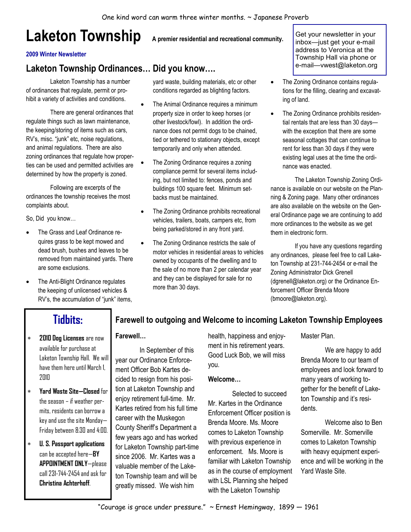# Laketon Township A premier residential and recreational community.

#### 2009 Winter Newsletter

### Laketon Township Ordinances… Did you know….

 Laketon Township has a number of ordinances that regulate, permit or prohibit a variety of activities and conditions.

 There are general ordinances that regulate things such as lawn maintenance, the keeping/storing of items such as cars, RV's, misc. "junk" etc, noise regulations, and animal regulations. There are also zoning ordinances that regulate how properties can be used and permitted activities are determined by how the property is zoned.

 Following are excerpts of the ordinances the township receives the most complaints about.

So, Did you know…

- The Grass and Leaf Ordinance requires grass to be kept mowed and dead brush, bushes and leaves to be removed from maintained yards. There are some exclusions.
- The Anti-Blight Ordinance regulates the keeping of unlicensed vehicles & RV's, the accumulation of "junk" items,

yard waste, building materials, etc or other conditions regarded as blighting factors.

- The Animal Ordinance requires a minimum property size in order to keep horses (or other livestock/fowl). In addition the ordinance does not permit dogs to be chained, tied or tethered to stationary objects, except temporarily and only when attended.
- The Zoning Ordinance requires a zoning compliance permit for several items including, but not limited to: fences, ponds and buildings 100 square feet. Minimum setbacks must be maintained.
- The Zoning Ordinance prohibits recreational vehicles, trailers, boats, campers etc, from being parked/stored in any front yard.
- The Zoning Ordinance restricts the sale of motor vehicles in residential areas to vehicles owned by occupants of the dwelling and to the sale of no more than 2 per calendar year and they can be displayed for sale for no more than 30 days.

Get your newsletter in your inbox—just get your e-mail address to Veronica at the Township Hall via phone or e-mail—vwest@laketon.org

- The Zoning Ordinance contains regulations for the filling, clearing and excavating of land.
- The Zoning Ordinance prohibits residential rentals that are less than 30 days with the exception that there are some seasonal cottages that can continue to rent for less than 30 days if they were existing legal uses at the time the ordinance was enacted.

 The Laketon Township Zoning Ordinance is available on our website on the Planning & Zoning page. Many other ordinances are also available on the website on the General Ordinance page we are continuing to add more ordinances to the website as we get them in electronic form.

 If you have any questions regarding any ordinances, please feel free to call Laketon Township at 231-744-2454 or e-mail the Zoning Administrator Dick Grenell (dgrenell@laketon.org) or the Ordinance Enforcement Officer Brenda Moore (bmoore@laketon.org).

## Tidbits:

#### ∗ 2010 Dog Licenses are now available for purchase at Laketon Township Hall. We will have them here until March 1, 2010

- ∗ Yard Waste Site—Closed for the season – if weather permits, residents can borrow a key and use the site Monday— Friday between 8:30 and 4:00.
- ∗ U. S. Passport applications can be accepted here $-$ BY APPOINTMENT ONLY—please call 231-744-2454 and ask for Christina Achterhoff.

#### Farewell to outgoing and Welcome to incoming Laketon Township Employees

#### Farewell…

 In September of this year our Ordinance Enforcement Officer Bob Kartes decided to resign from his position at Laketon Township and enjoy retirement full-time. Mr. Kartes retired from his full time career with the Muskegon County Sheriff's Department a few years ago and has worked for Laketon Township part-time since 2006. Mr. Kartes was a valuable member of the Laketon Township team and will be greatly missed. We wish him

health, happiness and enjoyment in his retirement years. Good Luck Bob, we will miss you.

#### Welcome…

 Selected to succeed Mr. Kartes in the Ordinance Enforcement Officer position is Brenda Moore. Ms. Moore comes to Laketon Township with previous experience in enforcement. Ms. Moore is familiar with Laketon Township as in the course of employment with LSL Planning she helped with the Laketon Township

Master Plan.

 We are happy to add Brenda Moore to our team of employees and look forward to many years of working together for the benefit of Laketon Township and it's residents.

 Welcome also to Ben Somerville. Mr. Somerville comes to Laketon Township with heavy equipment experience and will be working in the Yard Waste Site.